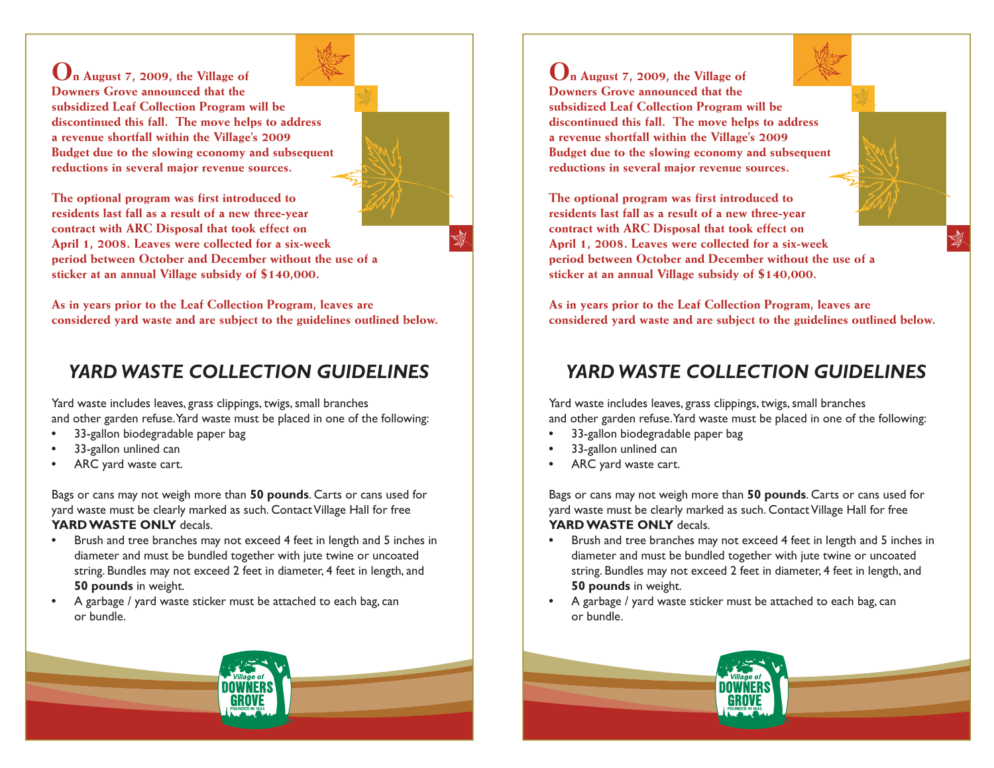**On August 7, 2009, the Village of Downers Grove announced that the subsidized Leaf Collection Program will be discontinued this fall. The move helps to address a revenue shortfall within the Village's 2009 Budget due to the slowing economy and subsequent reductions in several major revenue sources.** 

**The optional program was first introduced to residents last fall as a result of a new three-year contract with ARC Disposal that took effect on April 1, 2008. Leaves were collected for a six-week period between October and December without the use of a sticker at an annual Village subsidy of \$140,000.** 

**As in years prior to the Leaf Collection Program, leaves are considered yard waste and are subject to the guidelines outlined below.** S)

## *YARD WASTE COLLECTION GUIDELINES*

Yard waste includes leaves, grass clippings, twigs, small branches and other garden refuse. Yard waste must be placed in one of the following:

- **•** 33-gallon biodegradable paper bag
- **•** 33-gallon unlined can
- **•** ARC yard waste cart.

Bags or cans may not weigh more than **50 pounds**. Carts or cans used for yard waste must be clearly marked as such. Contact Village Hall for free **YARD WASTE ONLY** decals.

- **•** Brush and tree branches may not exceed 4 feet in length and 5 inches in diameter and must be bundled together with jute twine or uncoated string. Bundles may not exceed 2 feet in diameter, 4 feet in length, and  **50 pounds** in weight.
- **•** A garbage / yard waste sticker must be attached to each bag, can or bundle.